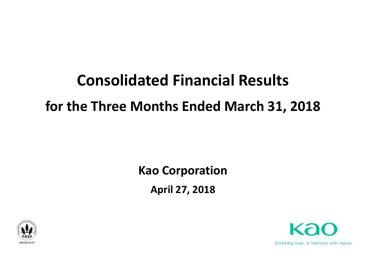# **Consolidated Financial Results for the Three Months Ended March 31, 2018**

## **Kao Corporation April 27, 2018**



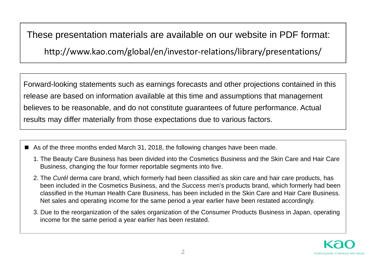These presentation materials are available on our website in PDF format:

http://www.kao.com/global/en/investor‐relations/library/presentations/

Forward-looking statements such as earnings forecasts and other projections contained in this release are based on information available at this time and assumptions that management believes to be reasonable, and do not constitute guarantees of future performance. Actual results may differ materially from those expectations due to various factors.

- As of the three months ended March 31, 2018, the following changes have been made.
	- 1. The Beauty Care Business has been divided into the Cosmetics Business and the Skin Care and Hair Care Business, changing the four former reportable segments into five.
	- 2. The *Curél* derma care brand, which formerly had been classified as skin care and hair care products, has been included in the Cosmetics Business, and the *Success* men's products brand, which formerly had been classified in the Human Health Care Business, has been included in the Skin Care and Hair Care Business. Net sales and operating income for the same period a year earlier have been restated accordingly.
	- 3. Due to the reorganization of the sales organization of the Consumer Products Business in Japan, operating income for the same period a year earlier has been restated.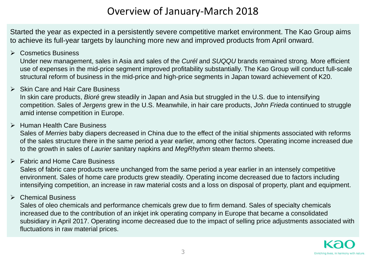### Overview of January‐March 2018

Started the year as expected in a persistently severe competitive market environment. The Kao Group aims to achieve its full-year targets by launching more new and improved products from April onward.

#### **▶ Cosmetics Business**

Under new management, sales in Asia and sales of the *Curél* and *SUQQU* brands remained strong. More efficient use of expenses in the mid-price segment improved profitability substantially. The Kao Group will conduct full-scale structural reform of business in the mid-price and high-price segments in Japan toward achievement of K20.

#### $\triangleright$  Skin Care and Hair Care Business

In skin care products, *Bioré* grew steadily in Japan and Asia but struggled in the U.S. due to intensifying competition. Sales of *Jergens* grew in the U.S. Meanwhile, in hair care products, *John Frieda* continued to struggle amid intense competition in Europe.

#### **▶ Human Health Care Business**

Sales of *Merries* baby diapers decreased in China due to the effect of the initial shipments associated with reforms of the sales structure there in the same period a year earlier, among other factors. Operating income increased due to the growth in sales of *Laurier* sanitary napkins and *MegRhythm* steam thermo sheets.

#### Fabric and Home Care Business

Sales of fabric care products were unchanged from the same period a year earlier in an intensely competitive environment. Sales of home care products grew steadily. Operating income decreased due to factors including intensifying competition, an increase in raw material costs and a loss on disposal of property, plant and equipment.

#### Chemical Business

Sales of oleo chemicals and performance chemicals grew due to firm demand. Sales of specialty chemicals increased due to the contribution of an inkjet ink operating company in Europe that became a consolidated subsidiary in April 2017. Operating income decreased due to the impact of selling price adjustments associated with fluctuations in raw material prices.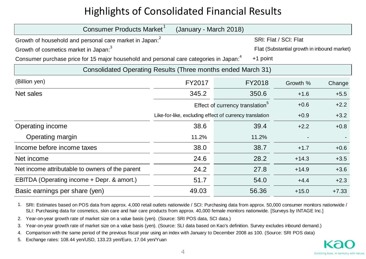### Highlights of Consolidated Financial Results

| Consumer Products Market<br>(January - March 2018)                                                               |                                                         |                                             |                                             |         |  |
|------------------------------------------------------------------------------------------------------------------|---------------------------------------------------------|---------------------------------------------|---------------------------------------------|---------|--|
| Growth of household and personal care market in Japan: <sup>2</sup>                                              |                                                         |                                             | SRI: Flat / SCI: Flat                       |         |  |
| Growth of cosmetics market in Japan: <sup>3</sup>                                                                |                                                         |                                             | Flat (Substantial growth in inbound market) |         |  |
| Consumer purchase price for 15 major household and personal care categories in Japan: <sup>4</sup><br>$+1$ point |                                                         |                                             |                                             |         |  |
| Consolidated Operating Results (Three months ended March 31)                                                     |                                                         |                                             |                                             |         |  |
| (Billion yen)                                                                                                    | FY2017                                                  | FY2018                                      | Growth %                                    | Change  |  |
| Net sales                                                                                                        | 345.2                                                   | 350.6                                       | $+1.6$                                      | $+5.5$  |  |
|                                                                                                                  |                                                         | Effect of currency translation <sup>5</sup> | $+0.6$                                      | $+2.2$  |  |
|                                                                                                                  | Like-for-like, excluding effect of currency translation |                                             | $+0.9$                                      | $+3.2$  |  |
| Operating income                                                                                                 | 38.6                                                    | 39.4                                        | $+2.2$                                      | $+0.8$  |  |
| Operating margin                                                                                                 | 11.2%                                                   | 11.2%                                       |                                             |         |  |
| Income before income taxes                                                                                       | 38.0                                                    | 38.7                                        | $+1.7$                                      | $+0.6$  |  |
| Net income                                                                                                       | 24.6                                                    | 28.2                                        | $+14.3$                                     | $+3.5$  |  |
| Net income attributable to owners of the parent                                                                  | 24.2                                                    | 27.8                                        | $+14.9$                                     | $+3.6$  |  |
| EBITDA (Operating income + Depr. & amort.)                                                                       | 51.7                                                    | 54.0                                        | $+4.4$                                      | $+2.3$  |  |
| Basic earnings per share (yen)                                                                                   | 49.03                                                   | 56.36                                       | $+15.0$                                     | $+7.33$ |  |

1. SRI: Estimates based on POS data from approx. 4,000 retail outlets nationwide / SCI: Purchasing data from approx. 50,000 consumer monitors nationwide / SLI: Purchasing data for cosmetics, skin care and hair care products from approx. 40,000 female monitors nationwide. [Surveys by INTAGE Inc.]

2. Year-on-year growth rate of market size on a value basis (yen). (Source: SRI POS data, SCI data.)

3. Year-on-year growth rate of market size on a value basis (yen). (Source: SLI data based on Kao's definition. Survey excludes inbound demand.)

4.Comparison with the same period of the previous fiscal year using an index with January to December 2008 as 100. (Source: SRI POS data)

5. Exchange rates: 108.44 yen/USD, 133.23 yen/Euro, 17.04 yen/Yuan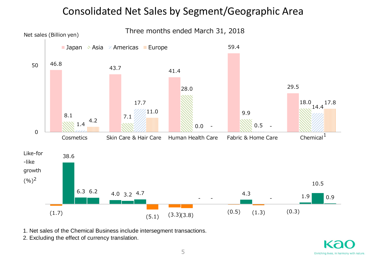### Consolidated Net Sales by Segment/Geographic Area



1. Net sales of the Chemical Business include intersegment transactions.

2. Excluding the effect of currency translation.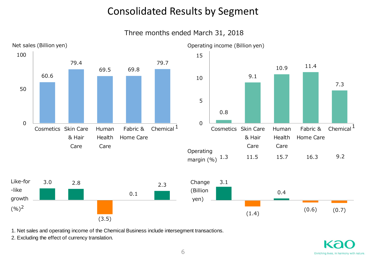### Consolidated Results by Segment

Three months ended March 31, 2018



1. Net sales and operating income of the Chemical Business include intersegment transactions.

2. Excluding the effect of currency translation.